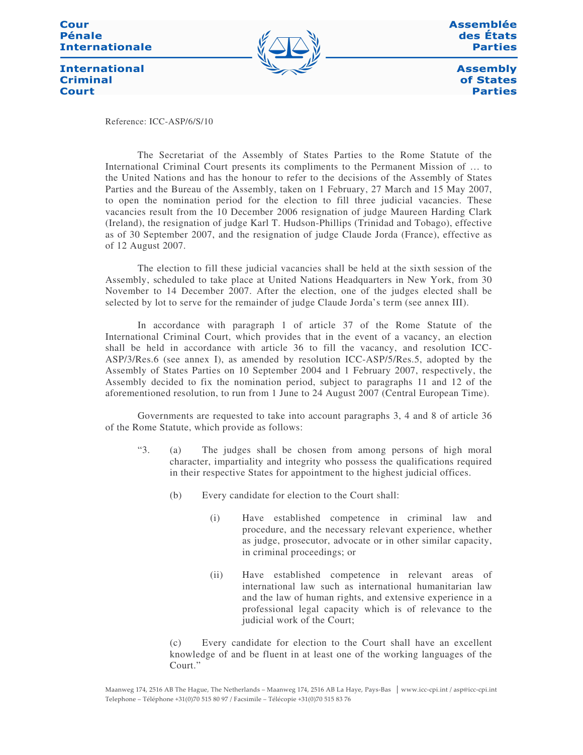#### **Cour Pénale Internationale**



Assemblée des États **Parties** 

**Assembly** of States **Parties** 

**International Criminal Court** 

Reference: ICC-ASP/6/S/10

The Secretariat of the Assembly of States Parties to the Rome Statute of the International Criminal Court presents its compliments to the Permanent Mission of … to the United Nations and has the honour to refer to the decisions of the Assembly of States Parties and the Bureau of the Assembly, taken on 1 February, 27 March and 15 May 2007, to open the nomination period for the election to fill three judicial vacancies. These vacancies result from the 10 December 2006 resignation of judge Maureen Harding Clark (Ireland), the resignation of judge Karl T. Hudson-Phillips (Trinidad and Tobago), effective as of 30 September 2007, and the resignation of judge Claude Jorda (France), effective as of 12 August 2007.

The election to fill these judicial vacancies shall be held at the sixth session of the Assembly, scheduled to take place at United Nations Headquarters in New York, from 30 November to 14 December 2007. After the election, one of the judges elected shall be selected by lot to serve for the remainder of judge Claude Jorda's term (see annex III).

In accordance with paragraph 1 of article 37 of the Rome Statute of the International Criminal Court, which provides that in the event of a vacancy, an election shall be held in accordance with article 36 to fill the vacancy, and resolution ICC-ASP/3/Res.6 (see annex I), as amended by resolution ICC-ASP/5/Res.5, adopted by the Assembly of States Parties on 10 September 2004 and 1 February 2007, respectively, the Assembly decided to fix the nomination period, subject to paragraphs 11 and 12 of the aforementioned resolution, to run from 1 June to 24 August 2007 (Central European Time).

Governments are requested to take into account paragraphs 3, 4 and 8 of article 36 of the Rome Statute, which provide as follows:

- "3. (a) The judges shall be chosen from among persons of high moral character, impartiality and integrity who possess the qualifications required in their respective States for appointment to the highest judicial offices.
	- (b) Every candidate for election to the Court shall:
		- (i) Have established competence in criminal law and procedure, and the necessary relevant experience, whether as judge, prosecutor, advocate or in other similar capacity, in criminal proceedings; or
		- (ii) Have established competence in relevant areas of international law such as international humanitarian law and the law of human rights, and extensive experience in a professional legal capacity which is of relevance to the judicial work of the Court;

(c) Every candidate for election to the Court shall have an excellent knowledge of and be fluent in at least one of the working languages of the Court."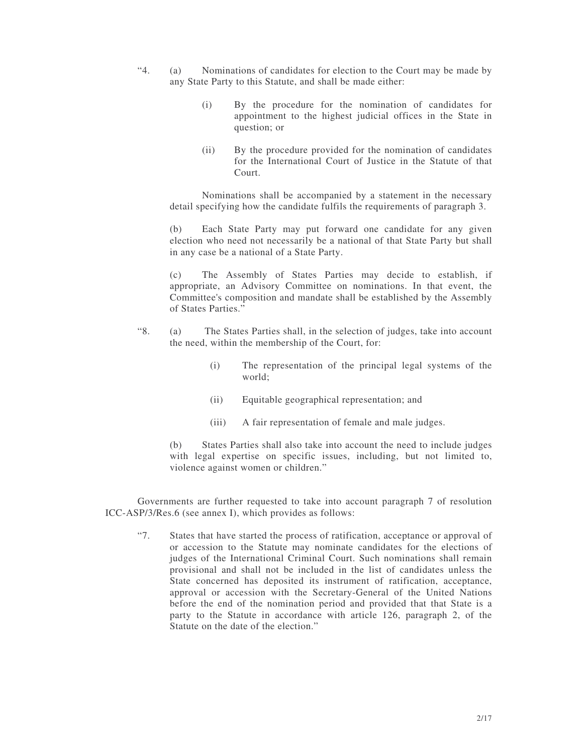- "4. (a) Nominations of candidates for election to the Court may be made by any State Party to this Statute, and shall be made either:
	- (i) By the procedure for the nomination of candidates for appointment to the highest judicial offices in the State in question; or
	- (ii) By the procedure provided for the nomination of candidates for the International Court of Justice in the Statute of that Court.

Nominations shall be accompanied by a statement in the necessary detail specifying how the candidate fulfils the requirements of paragraph 3.

(b) Each State Party may put forward one candidate for any given election who need not necessarily be a national of that State Party but shall in any case be a national of a State Party.

(c) The Assembly of States Parties may decide to establish, if appropriate, an Advisory Committee on nominations. In that event, the Committee's composition and mandate shall be established by the Assembly of States Parties."

- "8. (a) The States Parties shall, in the selection of judges, take into account the need, within the membership of the Court, for:
	- (i) The representation of the principal legal systems of the world;
	- (ii) Equitable geographical representation; and
	- (iii) A fair representation of female and male judges.

(b) States Parties shall also take into account the need to include judges with legal expertise on specific issues, including, but not limited to, violence against women or children."

Governments are further requested to take into account paragraph 7 of resolution ICC-ASP/3/Res.6 (see annex I), which provides as follows:

"7. States that have started the process of ratification, acceptance or approval of or accession to the Statute may nominate candidates for the elections of judges of the International Criminal Court. Such nominations shall remain provisional and shall not be included in the list of candidates unless the State concerned has deposited its instrument of ratification, acceptance, approval or accession with the Secretary-General of the United Nations before the end of the nomination period and provided that that State is a party to the Statute in accordance with article 126, paragraph 2, of the Statute on the date of the election."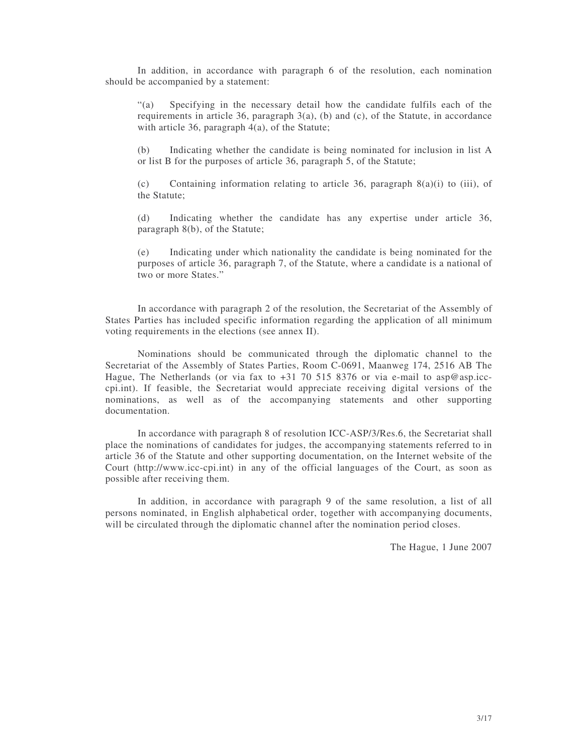In addition, in accordance with paragraph 6 of the resolution, each nomination should be accompanied by a statement:

"(a) Specifying in the necessary detail how the candidate fulfils each of the requirements in article 36, paragraph  $3(a)$ , (b) and (c), of the Statute, in accordance with article 36, paragraph 4(a), of the Statute;

(b) Indicating whether the candidate is being nominated for inclusion in list A or list B for the purposes of article 36, paragraph 5, of the Statute;

(c) Containing information relating to article 36, paragraph 8(a)(i) to (iii), of the Statute;

(d) Indicating whether the candidate has any expertise under article 36, paragraph 8(b), of the Statute;

(e) Indicating under which nationality the candidate is being nominated for the purposes of article 36, paragraph 7, of the Statute, where a candidate is a national of two or more States."

In accordance with paragraph 2 of the resolution, the Secretariat of the Assembly of States Parties has included specific information regarding the application of all minimum voting requirements in the elections (see annex II).

Nominations should be communicated through the diplomatic channel to the Secretariat of the Assembly of States Parties, Room C-0691, Maanweg 174, 2516 AB The Hague, The Netherlands (or via fax to +31 70 515 8376 or via e-mail to asp@asp.icccpi.int). If feasible, the Secretariat would appreciate receiving digital versions of the nominations, as well as of the accompanying statements and other supporting documentation.

In accordance with paragraph 8 of resolution ICC-ASP/3/Res.6, the Secretariat shall place the nominations of candidates for judges, the accompanying statements referred to in article 36 of the Statute and other supporting documentation, on the Internet website of the Court (http://www.icc-cpi.int) in any of the official languages of the Court, as soon as possible after receiving them.

In addition, in accordance with paragraph 9 of the same resolution, a list of all persons nominated, in English alphabetical order, together with accompanying documents, will be circulated through the diplomatic channel after the nomination period closes.

The Hague, 1 June 2007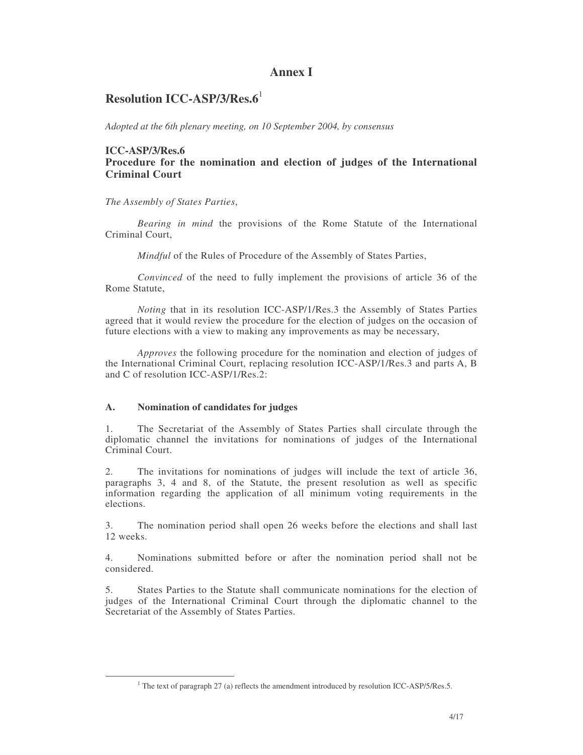## **Annex I**

# **Resolution ICC-ASP/3/Res.6** 1

*Adopted at the 6th plenary meeting, on 10 September 2004, by consensus*

#### **ICC-ASP/3/Res.6 Procedure for the nomination and election of judges of the International Criminal Court**

*The Assembly of States Parties*,

*Bearing in mind* the provisions of the Rome Statute of the International Criminal Court,

*Mindful* of the Rules of Procedure of the Assembly of States Parties,

*Convinced* of the need to fully implement the provisions of article 36 of the Rome Statute,

*Noting* that in its resolution ICC-ASP/1/Res.3 the Assembly of States Parties agreed that it would review the procedure for the election of judges on the occasion of future elections with a view to making any improvements as may be necessary,

*Approves* the following procedure for the nomination and election of judges of the International Criminal Court, replacing resolution ICC-ASP/1/Res.3 and parts A, B and C of resolution ICC-ASP/1/Res.2:

#### **A. Nomination of candidates for judges**

1. The Secretariat of the Assembly of States Parties shall circulate through the diplomatic channel the invitations for nominations of judges of the International Criminal Court.

2. The invitations for nominations of judges will include the text of article 36, paragraphs 3, 4 and 8, of the Statute, the present resolution as well as specific information regarding the application of all minimum voting requirements in the elections.

3. The nomination period shall open 26 weeks before the elections and shall last 12 weeks.

4. Nominations submitted before or after the nomination period shall not be considered.

5. States Parties to the Statute shall communicate nominations for the election of judges of the International Criminal Court through the diplomatic channel to the Secretariat of the Assembly of States Parties.

<sup>&</sup>lt;sup>1</sup> The text of paragraph 27 (a) reflects the amendment introduced by resolution ICC-ASP/5/Res.5.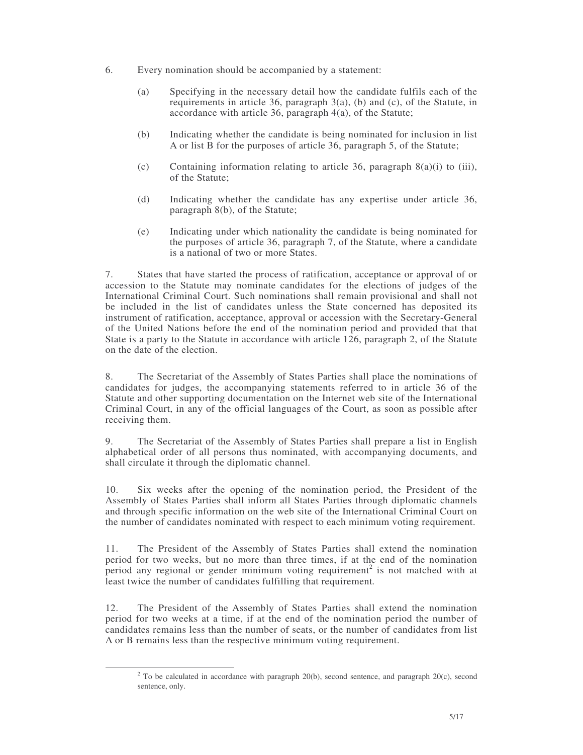- 6. Every nomination should be accompanied by a statement:
	- (a) Specifying in the necessary detail how the candidate fulfils each of the requirements in article 36, paragraph 3(a), (b) and (c), of the Statute, in accordance with article 36, paragraph 4(a), of the Statute;
	- (b) Indicating whether the candidate is being nominated for inclusion in list A or list B for the purposes of article 36, paragraph 5, of the Statute;
	- (c) Containing information relating to article 36, paragraph  $8(a)(i)$  to (iii), of the Statute;
	- (d) Indicating whether the candidate has any expertise under article 36, paragraph 8(b), of the Statute;
	- (e) Indicating under which nationality the candidate is being nominated for the purposes of article 36, paragraph 7, of the Statute, where a candidate is a national of two or more States.

7. States that have started the process of ratification, acceptance or approval of or accession to the Statute may nominate candidates for the elections of judges of the International Criminal Court. Such nominations shall remain provisional and shall not be included in the list of candidates unless the State concerned has deposited its instrument of ratification, acceptance, approval or accession with the Secretary-General of the United Nations before the end of the nomination period and provided that that State is a party to the Statute in accordance with article 126, paragraph 2, of the Statute on the date of the election.

8. The Secretariat of the Assembly of States Parties shall place the nominations of candidates for judges, the accompanying statements referred to in article 36 of the Statute and other supporting documentation on the Internet web site of the International Criminal Court, in any of the official languages of the Court, as soon as possible after receiving them.

9. The Secretariat of the Assembly of States Parties shall prepare a list in English alphabetical order of all persons thus nominated, with accompanying documents, and shall circulate it through the diplomatic channel.

10. Six weeks after the opening of the nomination period, the President of the Assembly of States Parties shall inform all States Parties through diplomatic channels and through specific information on the web site of the International Criminal Court on the number of candidates nominated with respect to each minimum voting requirement.

11. The President of the Assembly of States Parties shall extend the nomination period for two weeks, but no more than three times, if at the end of the nomination period any regional or gender minimum voting requirement<sup>2</sup> is not matched with at least twice the number of candidates fulfilling that requirement*.*

12. The President of the Assembly of States Parties shall extend the nomination period for two weeks at a time, if at the end of the nomination period the number of candidates remains less than the number of seats, or the number of candidates from list A or B remains less than the respective minimum voting requirement.

 $2$  To be calculated in accordance with paragraph 20(b), second sentence, and paragraph 20(c), second sentence, only.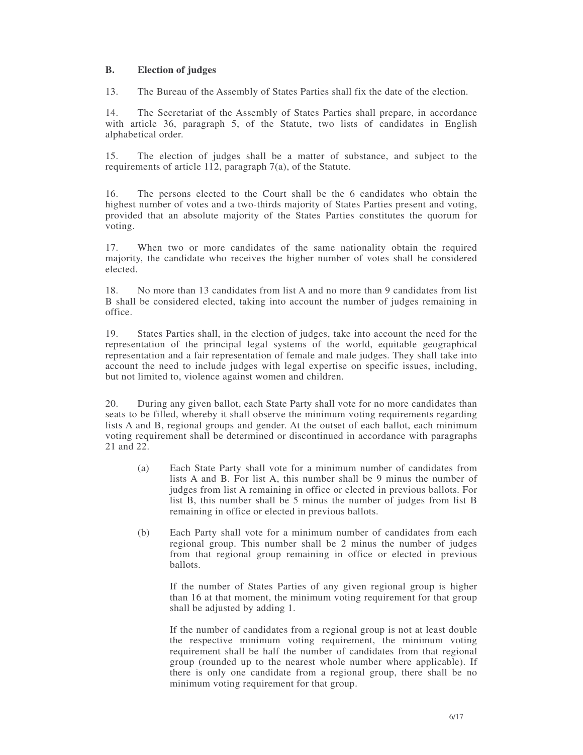#### **B. Election of judges**

13. The Bureau of the Assembly of States Parties shall fix the date of the election.

14. The Secretariat of the Assembly of States Parties shall prepare, in accordance with article 36, paragraph 5, of the Statute, two lists of candidates in English alphabetical order.

15. The election of judges shall be a matter of substance, and subject to the requirements of article 112, paragraph 7(a), of the Statute.

16. The persons elected to the Court shall be the 6 candidates who obtain the highest number of votes and a two-thirds majority of States Parties present and voting, provided that an absolute majority of the States Parties constitutes the quorum for voting.

17. When two or more candidates of the same nationality obtain the required majority, the candidate who receives the higher number of votes shall be considered elected.

18. No more than 13 candidates from list A and no more than 9 candidates from list B shall be considered elected, taking into account the number of judges remaining in office.

19. States Parties shall, in the election of judges, take into account the need for the representation of the principal legal systems of the world, equitable geographical representation and a fair representation of female and male judges. They shall take into account the need to include judges with legal expertise on specific issues, including, but not limited to, violence against women and children.

20. During any given ballot, each State Party shall vote for no more candidates than seats to be filled, whereby it shall observe the minimum voting requirements regarding lists A and B, regional groups and gender. At the outset of each ballot, each minimum voting requirement shall be determined or discontinued in accordance with paragraphs 21 and 22.

- (a) Each State Party shall vote for a minimum number of candidates from lists A and B. For list A, this number shall be 9 minus the number of judges from list A remaining in office or elected in previous ballots. For list B, this number shall be 5 minus the number of judges from list B remaining in office or elected in previous ballots.
- (b) Each Party shall vote for a minimum number of candidates from each regional group. This number shall be 2 minus the number of judges from that regional group remaining in office or elected in previous ballots.

If the number of States Parties of any given regional group is higher than 16 at that moment, the minimum voting requirement for that group shall be adjusted by adding 1.

If the number of candidates from a regional group is not at least double the respective minimum voting requirement, the minimum voting requirement shall be half the number of candidates from that regional group (rounded up to the nearest whole number where applicable). If there is only one candidate from a regional group, there shall be no minimum voting requirement for that group.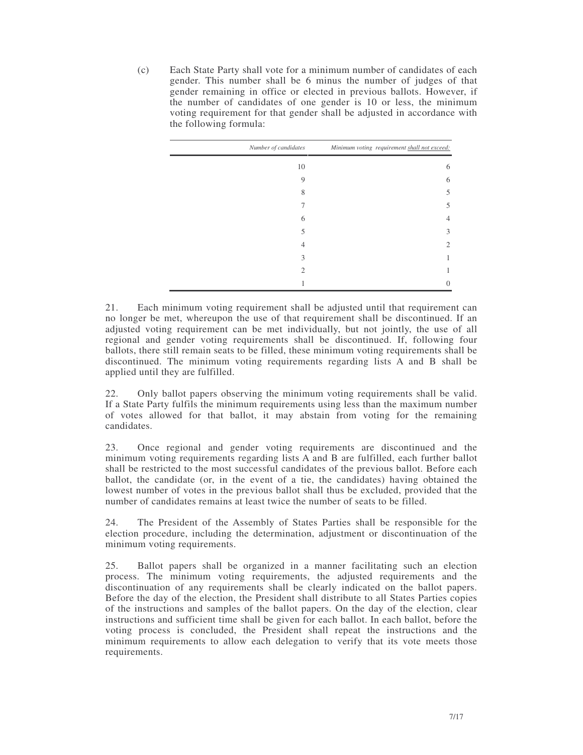(c) Each State Party shall vote for a minimum number of candidates of each gender. This number shall be 6 minus the number of judges of that gender remaining in office or elected in previous ballots. However, if the number of candidates of one gender is 10 or less, the minimum voting requirement for that gender shall be adjusted in accordance with the following formula:

| Number of candidates | Minimum voting requirement shall not exceed: |
|----------------------|----------------------------------------------|
| 10                   | 6                                            |
| 9                    | 6                                            |
| 8                    | 5                                            |
|                      | 5                                            |
| 6                    | $\overline{4}$                               |
| 5                    | 3                                            |
| 4                    | 2                                            |
| 3                    |                                              |
| 2                    |                                              |
|                      | $\theta$                                     |

21. Each minimum voting requirement shall be adjusted until that requirement can no longer be met, whereupon the use of that requirement shall be discontinued. If an adjusted voting requirement can be met individually, but not jointly, the use of all regional and gender voting requirements shall be discontinued. If, following four ballots, there still remain seats to be filled, these minimum voting requirements shall be discontinued. The minimum voting requirements regarding lists A and B shall be applied until they are fulfilled.

22. Only ballot papers observing the minimum voting requirements shall be valid. If a State Party fulfils the minimum requirements using less than the maximum number of votes allowed for that ballot, it may abstain from voting for the remaining candidates.

23. Once regional and gender voting requirements are discontinued and the minimum voting requirements regarding lists A and B are fulfilled, each further ballot shall be restricted to the most successful candidates of the previous ballot. Before each ballot, the candidate (or, in the event of a tie, the candidates) having obtained the lowest number of votes in the previous ballot shall thus be excluded, provided that the number of candidates remains at least twice the number of seats to be filled.

24. The President of the Assembly of States Parties shall be responsible for the election procedure, including the determination, adjustment or discontinuation of the minimum voting requirements.

25. Ballot papers shall be organized in a manner facilitating such an election process. The minimum voting requirements, the adjusted requirements and the discontinuation of any requirements shall be clearly indicated on the ballot papers. Before the day of the election, the President shall distribute to all States Parties copies of the instructions and samples of the ballot papers. On the day of the election, clear instructions and sufficient time shall be given for each ballot. In each ballot, before the voting process is concluded, the President shall repeat the instructions and the minimum requirements to allow each delegation to verify that its vote meets those requirements.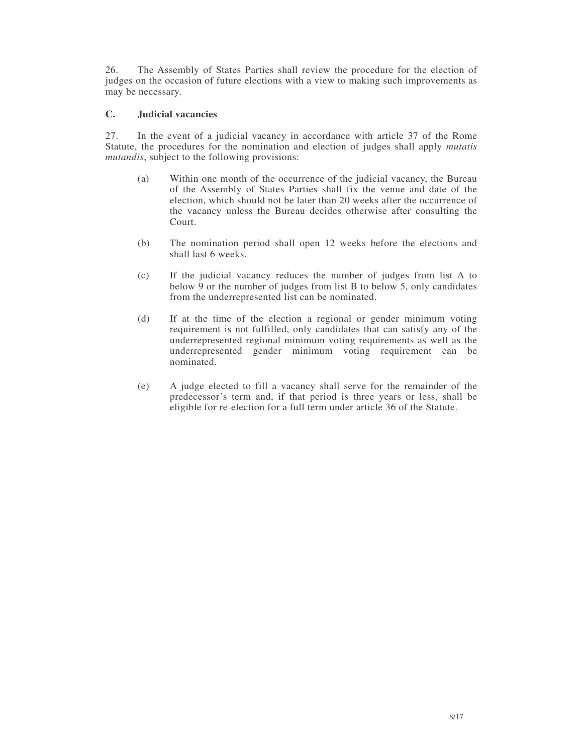26. The Assembly of States Parties shall review the procedure for the election of judges on the occasion of future elections with a view to making such improvements as may be necessary.

#### **C. Judicial vacancies**

27. In the event of a judicial vacancy in accordance with article 37 of the Rome Statute, the procedures for the nomination and election of judges shall apply *mutatis mutandis*, subject to the following provisions:

- (a) Within one month of the occurrence of the judicial vacancy, the Bureau of the Assembly of States Parties shall fix the venue and date of the election, which should not be later than 20 weeks after the occurrence of the vacancy unless the Bureau decides otherwise after consulting the Court.
- (b) The nomination period shall open 12 weeks before the elections and shall last 6 weeks.
- (c) If the judicial vacancy reduces the number of judges from list A to below 9 or the number of judges from list B to below 5, only candidates from the underrepresented list can be nominated.
- (d) If at the time of the election a regional or gender minimum voting requirement is not fulfilled, only candidates that can satisfy any of the underrepresented regional minimum voting requirements as well as the underrepresented gender minimum voting requirement can be nominated.
- (e) A judge elected to fill a vacancy shall serve for the remainder of the predecessor's term and, if that period is three years or less, shall be eligible for re-election for a full term under article 36 of the Statute.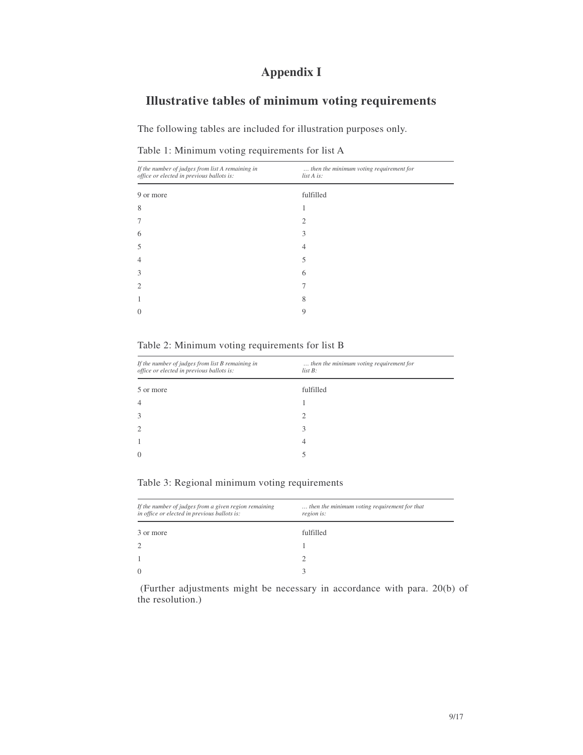# **Appendix I**

# **Illustrative tables of minimum voting requirements**

The following tables are included for illustration purposes only.

|  |  |  |  | Table 1: Minimum voting requirements for list A |  |  |  |
|--|--|--|--|-------------------------------------------------|--|--|--|
|--|--|--|--|-------------------------------------------------|--|--|--|

| then the minimum voting requirement for<br>list A is: |
|-------------------------------------------------------|
| fulfilled                                             |
|                                                       |
| 2                                                     |
| 3                                                     |
| 4                                                     |
| 5                                                     |
| 6                                                     |
|                                                       |
| 8                                                     |
| 9                                                     |
|                                                       |

Table 2: Minimum voting requirements for list B

| then the minimum voting requirement for<br>$list B$ : |
|-------------------------------------------------------|
| fulfilled                                             |
|                                                       |
|                                                       |
| 3                                                     |
| 4                                                     |
|                                                       |
|                                                       |

|  |  | Table 3: Regional minimum voting requirements |
|--|--|-----------------------------------------------|

| If the number of judges from a given region remaining<br>in office or elected in previous ballots is: | then the minimum voting requirement for that<br>region is: |
|-------------------------------------------------------------------------------------------------------|------------------------------------------------------------|
| 3 or more                                                                                             | fulfilled                                                  |
| 2                                                                                                     |                                                            |
|                                                                                                       |                                                            |
| $\Omega$                                                                                              |                                                            |

(Further adjustments might be necessary in accordance with para. 20(b) of the resolution.)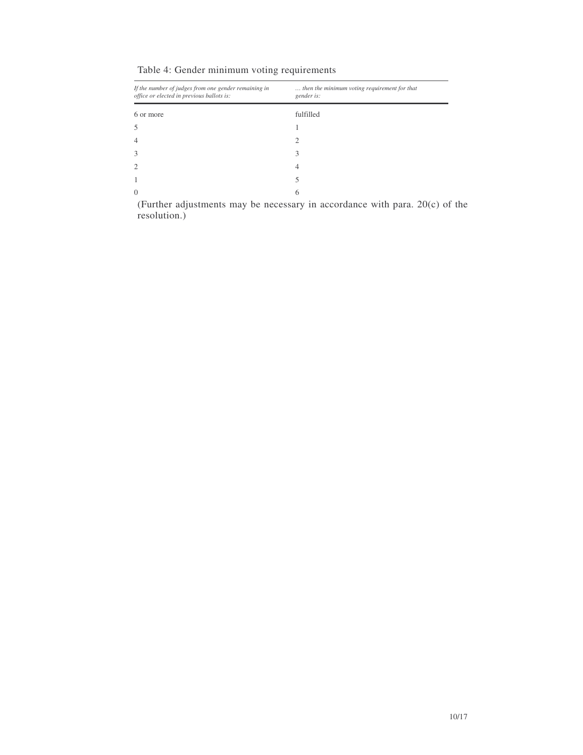| Table 4: Gender minimum voting requirements |  |  |
|---------------------------------------------|--|--|
|---------------------------------------------|--|--|

| If the number of judges from one gender remaining in<br>office or elected in previous ballots is: | then the minimum voting requirement for that<br>gender is: |
|---------------------------------------------------------------------------------------------------|------------------------------------------------------------|
| 6 or more                                                                                         | fulfilled                                                  |
| 5                                                                                                 |                                                            |
| $\overline{4}$                                                                                    | ∍                                                          |
| 3                                                                                                 | 3                                                          |
| $\overline{c}$                                                                                    | 4                                                          |
| 1                                                                                                 |                                                            |
| $\Omega$                                                                                          | 6                                                          |

(Further adjustments may be necessary in accordance with para. 20(c) of the resolution.)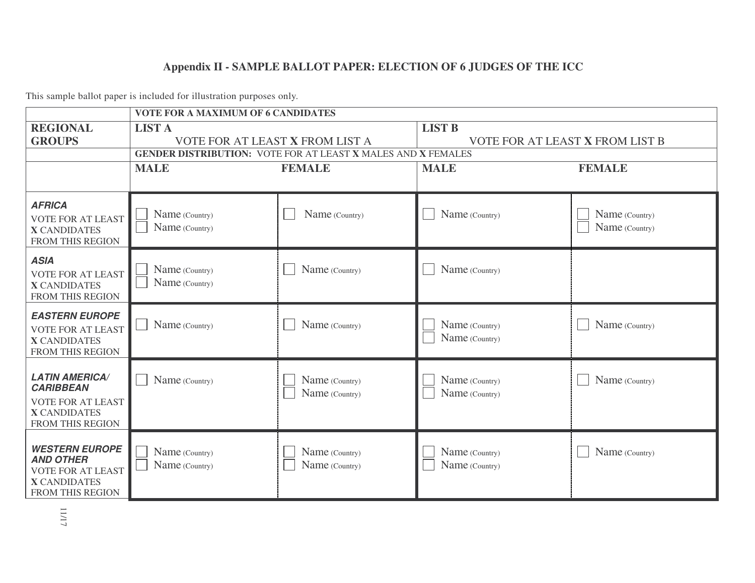# **Appendix II - SAMPLE BALLOT PAPER: ELECTION OF 6 JUDGES OF THE ICC**

|                                                                                                                  | <b>VOTE FOR A MAXIMUM OF 6 CANDIDATES</b>                           |                                  |                                  |                                  |  |
|------------------------------------------------------------------------------------------------------------------|---------------------------------------------------------------------|----------------------------------|----------------------------------|----------------------------------|--|
| <b>REGIONAL</b>                                                                                                  | <b>LIST A</b>                                                       |                                  | <b>LIST B</b>                    |                                  |  |
| <b>GROUPS</b>                                                                                                    | VOTE FOR AT LEAST X FROM LIST A                                     |                                  | VOTE FOR AT LEAST X FROM LIST B  |                                  |  |
|                                                                                                                  | <b>GENDER DISTRIBUTION: VOTE FOR AT LEAST X MALES AND X FEMALES</b> |                                  |                                  |                                  |  |
|                                                                                                                  | <b>MALE</b>                                                         | <b>FEMALE</b>                    | <b>MALE</b>                      | <b>FEMALE</b>                    |  |
| <b>AFRICA</b><br><b>VOTE FOR AT LEAST</b><br><b>X CANDIDATES</b><br>FROM THIS REGION                             | Name (Country)<br>Name (Country)                                    | Name (Country)                   | Name (Country)                   | Name (Country)<br>Name (Country) |  |
| <b>ASIA</b><br><b>VOTE FOR AT LEAST</b><br><b>X CANDIDATES</b><br>FROM THIS REGION                               | Name (Country)<br>Name (Country)                                    | Name (Country)                   | Name (Country)                   |                                  |  |
| <b>EASTERN EUROPE</b><br><b>VOTE FOR AT LEAST</b><br><b>X CANDIDATES</b><br>FROM THIS REGION                     | Name (Country)                                                      | Name (Country)                   | Name (Country)<br>Name (Country) | Name (Country)                   |  |
| <b>LATIN AMERICA/</b><br><b>CARIBBEAN</b><br><b>VOTE FOR AT LEAST</b><br><b>X CANDIDATES</b><br>FROM THIS REGION | Name (Country)                                                      | Name (Country)<br>Name (Country) | Name (Country)<br>Name (Country) | Name (Country)                   |  |
| <b>WESTERN EUROPE</b><br><b>AND OTHER</b><br><b>VOTE FOR AT LEAST</b><br><b>X CANDIDATES</b><br>FROM THIS REGION | Name (Country)<br>Name (Country)                                    | Name (Country)<br>Name (Country) | Name (Country)<br>Name (Country) | Name (Country)                   |  |

This sample ballot paper is included for illustration purposes only.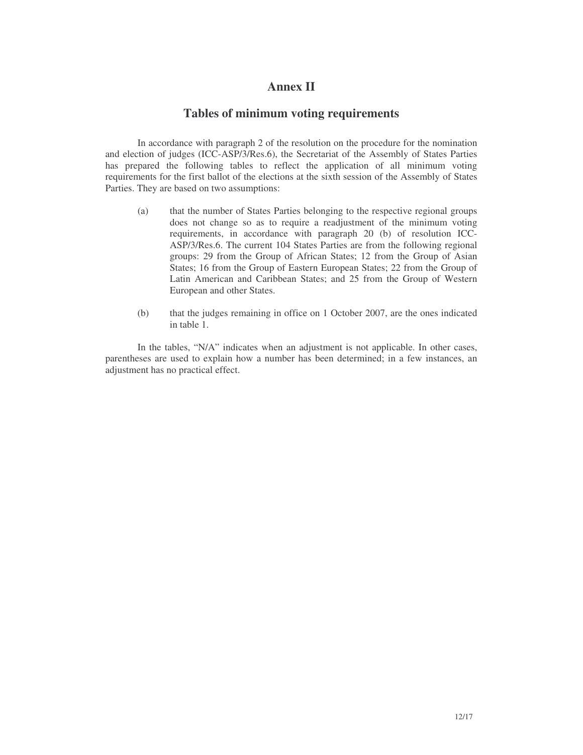### **Annex II**

#### **Tables of minimum voting requirements**

In accordance with paragraph 2 of the resolution on the procedure for the nomination and election of judges (ICC-ASP/3/Res.6), the Secretariat of the Assembly of States Parties has prepared the following tables to reflect the application of all minimum voting requirements for the first ballot of the elections at the sixth session of the Assembly of States Parties. They are based on two assumptions:

- (a) that the number of States Parties belonging to the respective regional groups does not change so as to require a readjustment of the minimum voting requirements, in accordance with paragraph 20 (b) of resolution ICC-ASP/3/Res.6. The current 104 States Parties are from the following regional groups: 29 from the Group of African States; 12 from the Group of Asian States; 16 from the Group of Eastern European States; 22 from the Group of Latin American and Caribbean States; and 25 from the Group of Western European and other States.
- (b) that the judges remaining in office on 1 October 2007, are the ones indicated in table 1.

In the tables, "N/A" indicates when an adjustment is not applicable. In other cases, parentheses are used to explain how a number has been determined; in a few instances, an adjustment has no practical effect.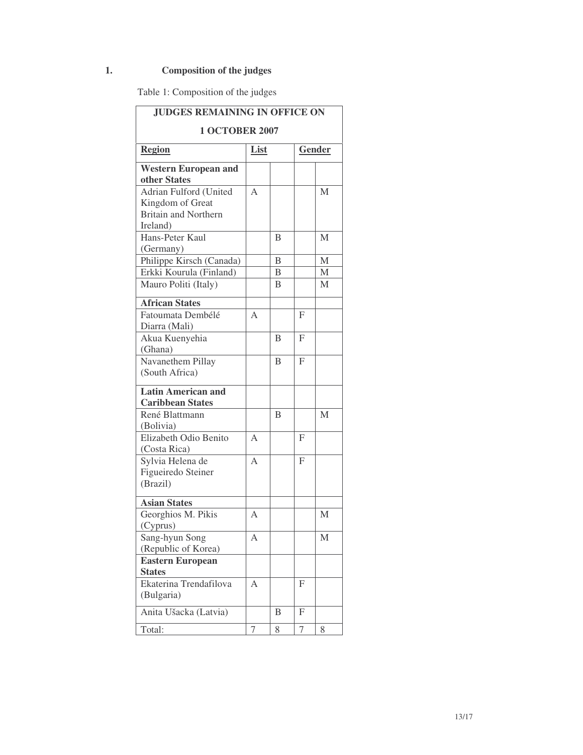# **1. Composition of the judges**

Table 1: Composition of the judges

| <b>JUDGES REMAINING IN OFFICE ON</b> |                |                |              |             |  |
|--------------------------------------|----------------|----------------|--------------|-------------|--|
| <b>1 OCTOBER 2007</b>                |                |                |              |             |  |
| <b>Region</b>                        | List           |                |              | Gender      |  |
| <b>Western European and</b>          |                |                |              |             |  |
| other States                         |                |                |              |             |  |
| Adrian Fulford (United               | A              |                |              | M           |  |
| Kingdom of Great                     |                |                |              |             |  |
| <b>Britain and Northern</b>          |                |                |              |             |  |
| Ireland)                             |                |                |              |             |  |
| Hans-Peter Kaul                      |                | B              |              | M           |  |
| (Germany)                            |                |                |              |             |  |
| Philippe Kirsch (Canada)             |                | B              |              | $\mathbf M$ |  |
| Erkki Kourula (Finland)              |                | $\overline{B}$ |              | M           |  |
| Mauro Politi (Italy)                 |                | B              |              | M           |  |
| <b>African States</b>                |                |                |              |             |  |
| Fatoumata Dembélé                    | A              |                | F            |             |  |
| Diarra (Mali)                        |                |                |              |             |  |
| Akua Kuenyehia                       |                | B              | $\mathbf{F}$ |             |  |
| (Ghana)                              |                |                |              |             |  |
| Navanethem Pillay                    |                | B              | $\mathbf{F}$ |             |  |
| (South Africa)                       |                |                |              |             |  |
| <b>Latin American and</b>            |                |                |              |             |  |
| <b>Caribbean States</b>              |                |                |              |             |  |
| René Blattmann                       |                | B              |              | M           |  |
| (Bolivia)                            |                |                |              |             |  |
| Elizabeth Odio Benito                | A              |                | F            |             |  |
| (Costa Rica)                         |                |                |              |             |  |
| Sylvia Helena de                     | $\overline{A}$ |                | F            |             |  |
| Figueiredo Steiner                   |                |                |              |             |  |
| (Brazil)                             |                |                |              |             |  |
| <b>Asian States</b>                  |                |                |              |             |  |
| Georghios M. Pikis                   | A              |                |              | M           |  |
| (Cyprus)                             |                |                |              |             |  |
| Sang-hyun Song                       | Α              |                |              | М           |  |
| (Republic of Korea)                  |                |                |              |             |  |
| <b>Eastern European</b>              |                |                |              |             |  |
| <b>States</b>                        |                |                |              |             |  |
| Ekaterina Trendafilova               | А              |                | F            |             |  |
| (Bulgaria)                           |                |                |              |             |  |
| Anita Ušacka (Latvia)                |                | B              | F            |             |  |
| Total:                               | 7              | 8              | 7            | 8           |  |
|                                      |                |                |              |             |  |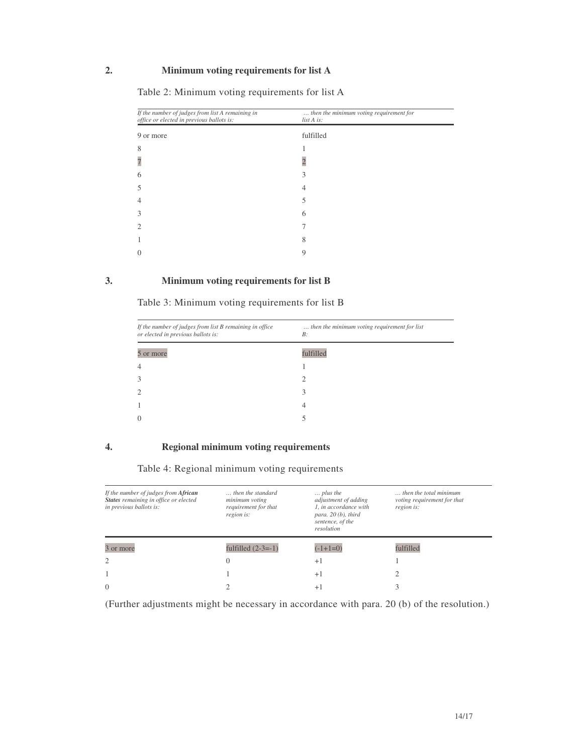### **2. Minimum voting requirements for list A**

| If the number of judges from list A remaining in<br>office or elected in previous ballots is: | then the minimum voting requirement for<br>list A is: |  |
|-----------------------------------------------------------------------------------------------|-------------------------------------------------------|--|
| 9 or more                                                                                     | fulfilled                                             |  |
| 8                                                                                             |                                                       |  |
|                                                                                               |                                                       |  |
| h                                                                                             | 3                                                     |  |
|                                                                                               | 4                                                     |  |
|                                                                                               |                                                       |  |
|                                                                                               | 6                                                     |  |
|                                                                                               |                                                       |  |
|                                                                                               | 8                                                     |  |
|                                                                                               | 9                                                     |  |

Table 2: Minimum voting requirements for list A

#### **3. Minimum voting requirements for list B**

Table 3: Minimum voting requirements for list B

| then the minimum voting requirement for list<br>B:<br>fulfilled<br>4 |                                                                                               |  |
|----------------------------------------------------------------------|-----------------------------------------------------------------------------------------------|--|
|                                                                      | If the number of judges from list B remaining in office<br>or elected in previous ballots is: |  |
|                                                                      | 5 or more                                                                                     |  |
|                                                                      | $\overline{4}$                                                                                |  |
|                                                                      | 3                                                                                             |  |
|                                                                      | $\overline{2}$                                                                                |  |
|                                                                      |                                                                                               |  |
|                                                                      | $\Omega$                                                                                      |  |

#### **4. Regional minimum voting requirements**

#### Table 4: Regional minimum voting requirements

| If the number of judges from African<br>States remaining in office or elected<br>in previous ballots is: | then the standard<br>minimum voting<br>requirement for that<br>region is: | $\ldots$ plus the<br>adjustment of adding<br>1. in accordance with<br>para. $20(b)$ , third<br>sentence, of the<br>resolution | $\ldots$ then the total minimum<br>voting requirement for that<br>region is: |
|----------------------------------------------------------------------------------------------------------|---------------------------------------------------------------------------|-------------------------------------------------------------------------------------------------------------------------------|------------------------------------------------------------------------------|
| 3 or more                                                                                                | fulfilled $(2-3=-1)$                                                      | $(-1+1=0)$                                                                                                                    | fulfilled                                                                    |
| $\overline{c}$                                                                                           | 0                                                                         | $+1$                                                                                                                          |                                                                              |
|                                                                                                          |                                                                           |                                                                                                                               |                                                                              |
|                                                                                                          |                                                                           | $+1$                                                                                                                          |                                                                              |

(Further adjustments might be necessary in accordance with para. 20 (b) of the resolution.)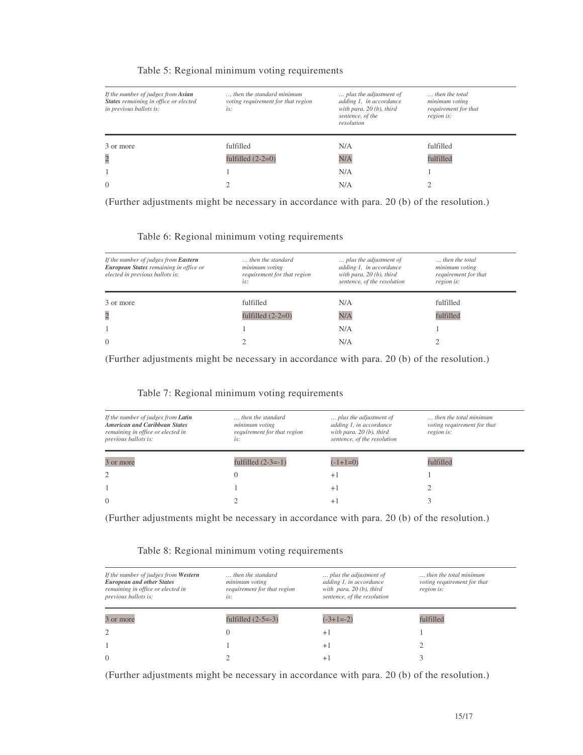| If the number of judges from Asian<br>States remaining in office or elected<br>in previous ballots is: | then the standard minimum<br>voting requirement for that region<br>is: | plus the adjustment of<br>adding 1, in accordance<br>with para. $20(b)$ , third<br>sentence, of the<br>resolution | then the total<br>minimum voting<br>requirement for that<br>region is: |
|--------------------------------------------------------------------------------------------------------|------------------------------------------------------------------------|-------------------------------------------------------------------------------------------------------------------|------------------------------------------------------------------------|
| 3 or more                                                                                              | fulfilled                                                              | N/A                                                                                                               | fulfilled                                                              |
| $\overline{c}$                                                                                         | fulfilled $(2-2=0)$                                                    | N/A                                                                                                               | fulfilled                                                              |
|                                                                                                        |                                                                        | N/A                                                                                                               |                                                                        |
| $\Omega$                                                                                               |                                                                        | N/A                                                                                                               |                                                                        |

#### Table 5: Regional minimum voting requirements

(Further adjustments might be necessary in accordance with para. 20 (b) of the resolution.)

Table 6: Regional minimum voting requirements

| If the number of judges from <b>Eastern</b><br>European States remaining in office or<br>elected in previous ballots is: | then the standard<br>minimum voting<br>requirement for that region<br>is: | plus the adjustment of<br>adding 1, in accordance<br>with para. $20(b)$ , third<br>sentence, of the resolution | then the total<br>minimum voting<br>requirement for that<br>region is: |
|--------------------------------------------------------------------------------------------------------------------------|---------------------------------------------------------------------------|----------------------------------------------------------------------------------------------------------------|------------------------------------------------------------------------|
| 3 or more                                                                                                                | fulfilled                                                                 | N/A                                                                                                            | fulfilled                                                              |
| $\overline{c}$                                                                                                           | fulfilled $(2-2=0)$                                                       | N/A                                                                                                            | fulfilled                                                              |
|                                                                                                                          |                                                                           | N/A                                                                                                            |                                                                        |
| $\Omega$                                                                                                                 |                                                                           | N/A                                                                                                            |                                                                        |

(Further adjustments might be necessary in accordance with para. 20 (b) of the resolution.)

#### Table 7: Regional minimum voting requirements

| If the number of judges from <b>Latin</b><br><b>American and Caribbean States</b><br>remaining in office or elected in<br>previous ballots is: | then the standard<br>minimum voting<br>requirement for that region<br>is: | plus the adjustment of<br>adding 1, in accordance<br>with para. $20(b)$ , third<br>sentence, of the resolution | then the total minimum<br>voting requirement for that<br>region is: |
|------------------------------------------------------------------------------------------------------------------------------------------------|---------------------------------------------------------------------------|----------------------------------------------------------------------------------------------------------------|---------------------------------------------------------------------|
| 3 or more                                                                                                                                      | fulfilled $(2-3=-1)$                                                      | $(-1+1=0)$                                                                                                     | fulfilled                                                           |
| $\overline{2}$                                                                                                                                 |                                                                           | $+1$                                                                                                           |                                                                     |
|                                                                                                                                                |                                                                           | $+1$                                                                                                           |                                                                     |
| $\Omega$                                                                                                                                       |                                                                           | $+$                                                                                                            |                                                                     |

(Further adjustments might be necessary in accordance with para. 20 (b) of the resolution.)

#### Table 8: Regional minimum voting requirements

| If the number of judges from Western<br><b>European and other States</b><br>remaining in office or elected in<br>previous ballots is: | then the standard<br>minimum voting<br>requirement for that region<br>is: | plus the adjustment of<br>adding 1, in accordance<br>with para. $20(b)$ , third<br>sentence, of the resolution | then the total minimum.<br>voting requirement for that<br>region is: |
|---------------------------------------------------------------------------------------------------------------------------------------|---------------------------------------------------------------------------|----------------------------------------------------------------------------------------------------------------|----------------------------------------------------------------------|
| 3 or more                                                                                                                             | fulfilled $(2-5=-3)$                                                      | $(-3+1=-2)$                                                                                                    | fulfilled                                                            |
|                                                                                                                                       | $\left( \right)$                                                          | $+1$                                                                                                           |                                                                      |
|                                                                                                                                       |                                                                           | $+1$                                                                                                           |                                                                      |
| $\Omega$                                                                                                                              |                                                                           | $+$                                                                                                            |                                                                      |

(Further adjustments might be necessary in accordance with para. 20 (b) of the resolution.)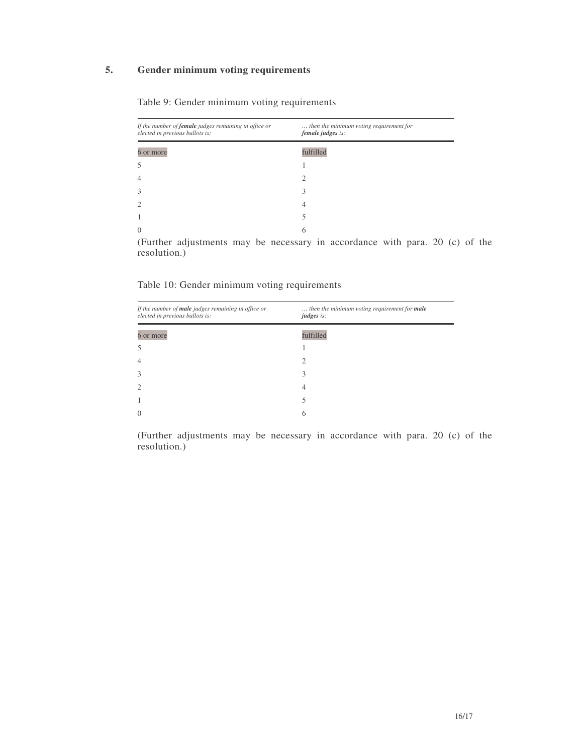### **5. Gender minimum voting requirements**

| If the number of female judges remaining in office or<br>elected in previous ballots is:                 | then the minimum voting requirement for<br>female judges is:     |
|----------------------------------------------------------------------------------------------------------|------------------------------------------------------------------|
| 6 or more                                                                                                | fulfilled                                                        |
| 5                                                                                                        |                                                                  |
| $\overline{4}$                                                                                           | 7                                                                |
| 3                                                                                                        |                                                                  |
| $\overline{2}$                                                                                           | 4                                                                |
|                                                                                                          |                                                                  |
| $\theta$                                                                                                 | 6                                                                |
| the contract of the contract of the contract of the contract of the contract of<br>$\sqrt{1}$ $\sqrt{1}$ | ٠<br>$\bullet$ . $\bullet$<br><b>B B</b><br>$\sim$ $\sim$ $\sim$ |

Table 9: Gender minimum voting requirements

(Further adjustments may be necessary in accordance with para. 20 (c) of the resolution.)

Table 10: Gender minimum voting requirements

| If the number of male judges remaining in office or<br>elected in previous ballots is: | then the minimum voting requirement for male<br>judges is:                                                                                                      |
|----------------------------------------------------------------------------------------|-----------------------------------------------------------------------------------------------------------------------------------------------------------------|
| 6 or more                                                                              | fulfilled                                                                                                                                                       |
| 5                                                                                      |                                                                                                                                                                 |
| $\overline{4}$                                                                         | $\mathcal{D}_{\mathcal{A}}^{\mathcal{A}}(\mathcal{A})=\mathcal{D}_{\mathcal{A}}^{\mathcal{A}}(\mathcal{A})\mathcal{D}_{\mathcal{A}}^{\mathcal{A}}(\mathcal{A})$ |
| 3                                                                                      | 3                                                                                                                                                               |
| $\overline{2}$                                                                         | 4                                                                                                                                                               |
| 1                                                                                      |                                                                                                                                                                 |
| $\overline{0}$                                                                         | 6                                                                                                                                                               |

(Further adjustments may be necessary in accordance with para. 20 (c) of the resolution.)